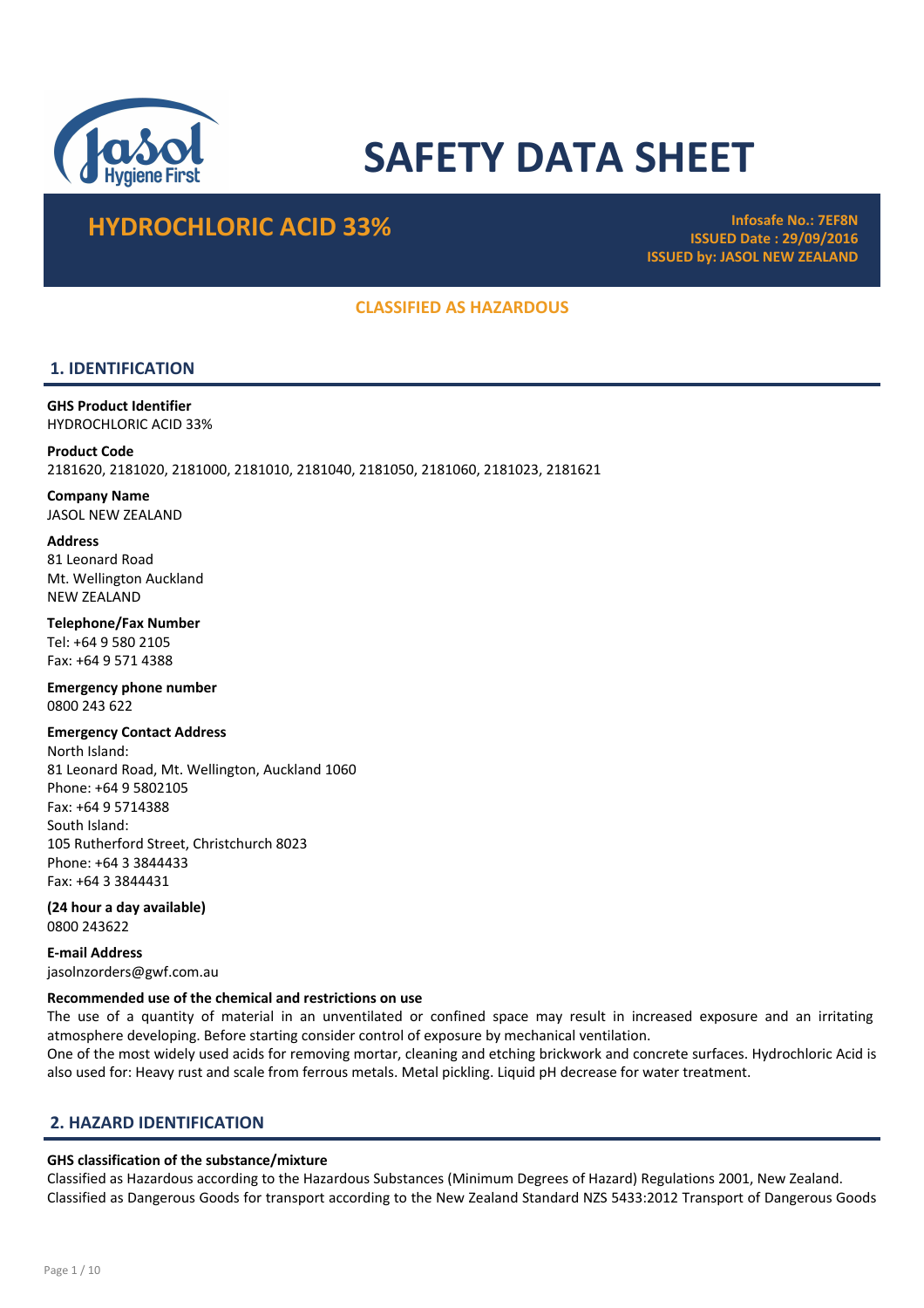

# SAFETY DATA SHEET

# HYDROCHLORIC ACID 33% Infosafe No.: 7EF8N

ISSUED Date : 29/09/2016 ISSUED by: JASOL NEW ZEALAND

# CLASSIFIED AS HAZARDOUS

# 1. IDENTIFICATION

GHS Product Identifier HYDROCHLORIC ACID 33%

Product Code 2181620, 2181020, 2181000, 2181010, 2181040, 2181050, 2181060, 2181023, 2181621

Company Name JASOL NEW ZEALAND

**Address** 

81 Leonard Road Mt. Wellington Auckland NEW ZEALAND

Telephone/Fax Number Tel: +64 9 580 2105 Fax: +64 9 571 4388

Emergency phone number 0800 243 622

Emergency Contact Address North Island: 81 Leonard Road, Mt. Wellington, Auckland 1060 Phone: +64 9 5802105 Fax: +64 9 5714388 South Island: 105 Rutherford Street, Christchurch 8023 Phone: +64 3 3844433 Fax: +64 3 3844431

(24 hour a day available) 0800 243622

E-mail Address jasolnzorders@gwf.com.au

# Recommended use of the chemical and restrictions on use

The use of a quantity of material in an unventilated or confined space may result in increased exposure and an irritating atmosphere developing. Before starting consider control of exposure by mechanical ventilation.

One of the most widely used acids for removing mortar, cleaning and etching brickwork and concrete surfaces. Hydrochloric Acid is also used for: Heavy rust and scale from ferrous metals. Metal pickling. Liquid pH decrease for water treatment.

# 2. HAZARD IDENTIFICATION

# GHS classification of the substance/mixture

Classified as Hazardous according to the Hazardous Substances (Minimum Degrees of Hazard) Regulations 2001, New Zealand. Classified as Dangerous Goods for transport according to the New Zealand Standard NZS 5433:2012 Transport of Dangerous Goods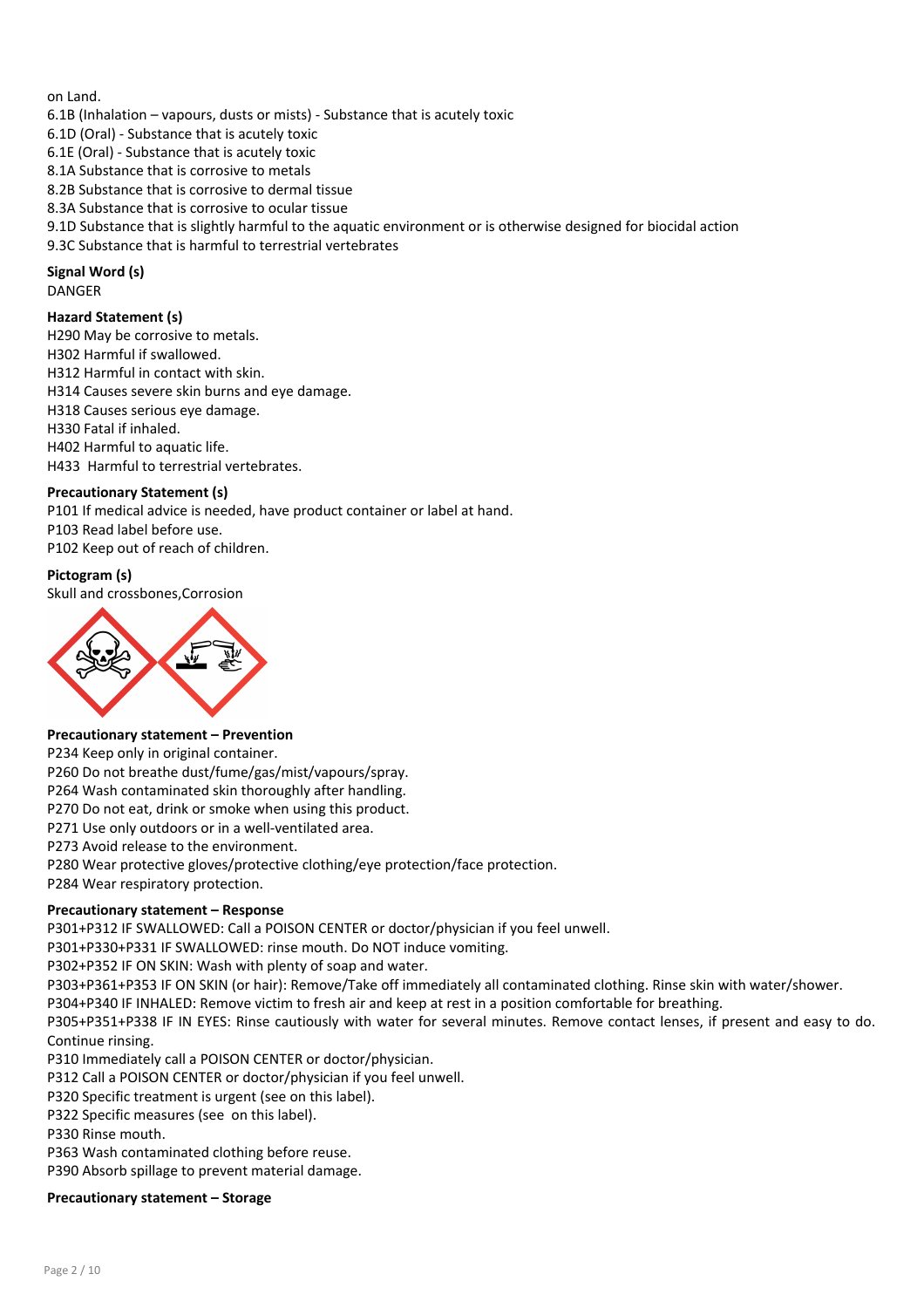on Land.

- 6.1B (Inhalation vapours, dusts or mists) Substance that is acutely toxic
- 6.1D (Oral) Substance that is acutely toxic
- 6.1E (Oral) Substance that is acutely toxic
- 8.1A Substance that is corrosive to metals
- 8.2B Substance that is corrosive to dermal tissue
- 8.3A Substance that is corrosive to ocular tissue
- 9.1D Substance that is slightly harmful to the aquatic environment or is otherwise designed for biocidal action
- 9.3C Substance that is harmful to terrestrial vertebrates

# Signal Word (s) DANGER

# Hazard Statement (s)

- H290 May be corrosive to metals. H302 Harmful if swallowed. H312 Harmful in contact with skin. H314 Causes severe skin burns and eye damage. H318 Causes serious eye damage. H330 Fatal if inhaled. H402 Harmful to aquatic life. H433 Harmful to terrestrial vertebrates.
- 

# Precautionary Statement (s)

P101 If medical advice is needed, have product container or label at hand. P103 Read label before use. P102 Keep out of reach of children.

# Pictogram (s)

Skull and crossbones,Corrosion



# Precautionary statement – Prevention

P234 Keep only in original container.

P260 Do not breathe dust/fume/gas/mist/vapours/spray.

P264 Wash contaminated skin thoroughly after handling.

P270 Do not eat, drink or smoke when using this product.

P271 Use only outdoors or in a well-ventilated area.

P273 Avoid release to the environment.

P280 Wear protective gloves/protective clothing/eye protection/face protection.

P284 Wear respiratory protection.

# Precautionary statement – Response

P301+P312 IF SWALLOWED: Call a POISON CENTER or doctor/physician if you feel unwell.

P301+P330+P331 IF SWALLOWED: rinse mouth. Do NOT induce vomiting.

P302+P352 IF ON SKIN: Wash with plenty of soap and water.

P303+P361+P353 IF ON SKIN (or hair): Remove/Take off immediately all contaminated clothing. Rinse skin with water/shower.

P304+P340 IF INHALED: Remove victim to fresh air and keep at rest in a position comfortable for breathing.

P305+P351+P338 IF IN EYES: Rinse cautiously with water for several minutes. Remove contact lenses, if present and easy to do. Continue rinsing.

P310 Immediately call a POISON CENTER or doctor/physician.

- P312 Call a POISON CENTER or doctor/physician if you feel unwell.
- P320 Specific treatment is urgent (see on this label).
- P322 Specific measures (see on this label).
- P330 Rinse mouth.
- P363 Wash contaminated clothing before reuse.

P390 Absorb spillage to prevent material damage.

# Precautionary statement – Storage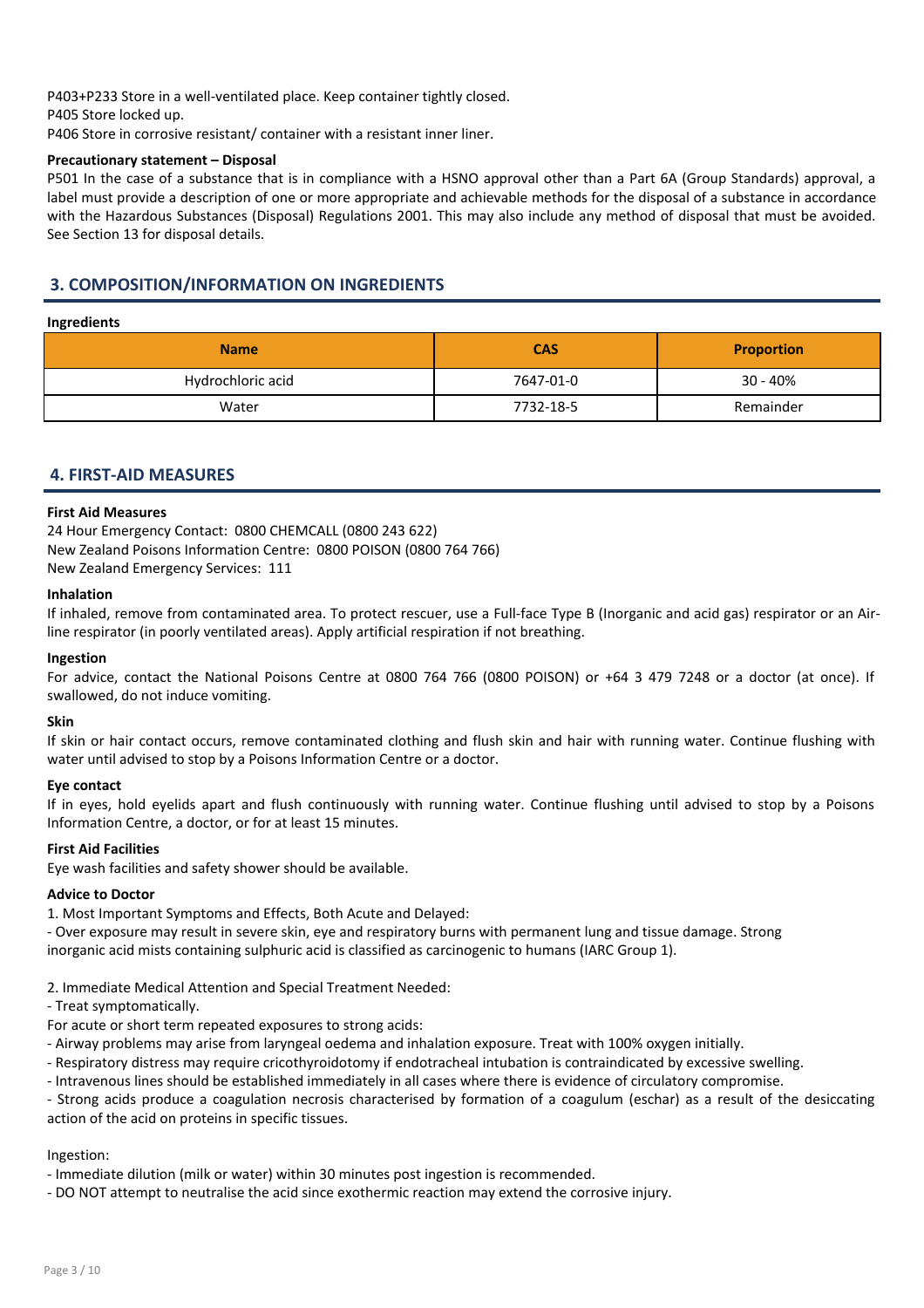P403+P233 Store in a well-ventilated place. Keep container tightly closed. P405 Store locked up.

P406 Store in corrosive resistant/ container with a resistant inner liner.

# Precautionary statement – Disposal

P501 In the case of a substance that is in compliance with a HSNO approval other than a Part 6A (Group Standards) approval, a label must provide a description of one or more appropriate and achievable methods for the disposal of a substance in accordance with the Hazardous Substances (Disposal) Regulations 2001. This may also include any method of disposal that must be avoided. See Section 13 for disposal details.

# 3. COMPOSITION/INFORMATION ON INGREDIENTS

# Ingredients

| <b>Name</b>       | <b>CAS</b> | <b>Proportion</b> |
|-------------------|------------|-------------------|
| Hydrochloric acid | 7647-01-0  | $30 - 40%$        |
| Water             | 7732-18-5  | Remainder         |

# 4. FIRST-AID MEASURES

# First Aid Measures

24 Hour Emergency Contact: 0800 CHEMCALL (0800 243 622) New Zealand Poisons Information Centre: 0800 POISON (0800 764 766) New Zealand Emergency Services: 111

#### Inhalation

If inhaled, remove from contaminated area. To protect rescuer, use a Full-face Type B (Inorganic and acid gas) respirator or an Airline respirator (in poorly ventilated areas). Apply artificial respiration if not breathing.

#### Ingestion

For advice, contact the National Poisons Centre at 0800 764 766 (0800 POISON) or +64 3 479 7248 or a doctor (at once). If swallowed, do not induce vomiting.

# Skin

If skin or hair contact occurs, remove contaminated clothing and flush skin and hair with running water. Continue flushing with water until advised to stop by a Poisons Information Centre or a doctor.

# Eye contact

If in eyes, hold eyelids apart and flush continuously with running water. Continue flushing until advised to stop by a Poisons Information Centre, a doctor, or for at least 15 minutes.

# First Aid Facilities

Eye wash facilities and safety shower should be available.

# Advice to Doctor

1. Most Important Symptoms and Effects, Both Acute and Delayed:

- Over exposure may result in severe skin, eye and respiratory burns with permanent lung and tissue damage. Strong inorganic acid mists containing sulphuric acid is classified as carcinogenic to humans (IARC Group 1).

2. Immediate Medical Attention and Special Treatment Needed:

- Treat symptomatically.

For acute or short term repeated exposures to strong acids:

- Airway problems may arise from laryngeal oedema and inhalation exposure. Treat with 100% oxygen initially.

- Respiratory distress may require cricothyroidotomy if endotracheal intubation is contraindicated by excessive swelling.

- Intravenous lines should be established immediately in all cases where there is evidence of circulatory compromise.

- Strong acids produce a coagulation necrosis characterised by formation of a coagulum (eschar) as a result of the desiccating action of the acid on proteins in specific tissues.

# Ingestion:

- Immediate dilution (milk or water) within 30 minutes post ingestion is recommended.

- DO NOT attempt to neutralise the acid since exothermic reaction may extend the corrosive injury.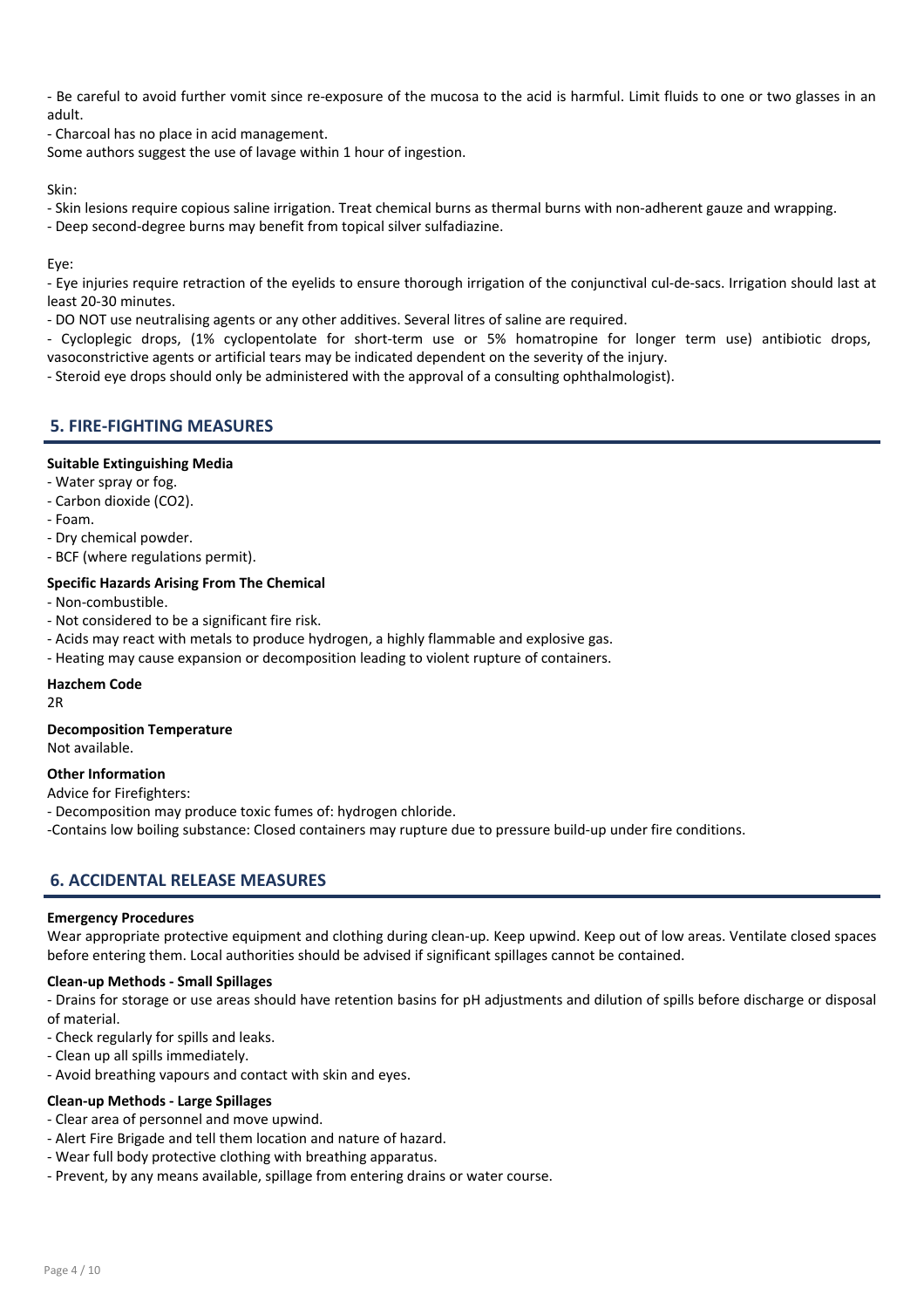- Be careful to avoid further vomit since re-exposure of the mucosa to the acid is harmful. Limit fluids to one or two glasses in an adult.

- Charcoal has no place in acid management.

Some authors suggest the use of lavage within 1 hour of ingestion.

Skin:

- Skin lesions require copious saline irrigation. Treat chemical burns as thermal burns with non-adherent gauze and wrapping.

- Deep second-degree burns may benefit from topical silver sulfadiazine.

Eye:

- Eye injuries require retraction of the eyelids to ensure thorough irrigation of the conjunctival cul-de-sacs. Irrigation should last at least 20-30 minutes.

- DO NOT use neutralising agents or any other additives. Several litres of saline are required.

- Cycloplegic drops, (1% cyclopentolate for short-term use or 5% homatropine for longer term use) antibiotic drops, vasoconstrictive agents or artificial tears may be indicated dependent on the severity of the injury.

- Steroid eye drops should only be administered with the approval of a consulting ophthalmologist).

# 5. FIRE-FIGHTING MEASURES

# Suitable Extinguishing Media

- Water spray or fog.
- Carbon dioxide (CO2).
- Foam.
- Dry chemical powder.
- BCF (where regulations permit).

#### Specific Hazards Arising From The Chemical

- Non-combustible.
- Not considered to be a significant fire risk.
- Acids may react with metals to produce hydrogen, a highly flammable and explosive gas.
- Heating may cause expansion or decomposition leading to violent rupture of containers.

# Hazchem Code

2R

# Decomposition Temperature

Not available.

# Other Information

Advice for Firefighters:

- Decomposition may produce toxic fumes of: hydrogen chloride.

-Contains low boiling substance: Closed containers may rupture due to pressure build-up under fire conditions.

# 6. ACCIDENTAL RELEASE MEASURES

# Emergency Procedures

Wear appropriate protective equipment and clothing during clean-up. Keep upwind. Keep out of low areas. Ventilate closed spaces before entering them. Local authorities should be advised if significant spillages cannot be contained.

# Clean-up Methods - Small Spillages

- Drains for storage or use areas should have retention basins for pH adjustments and dilution of spills before discharge or disposal of material.

- Check regularly for spills and leaks.
- Clean up all spills immediately.
- Avoid breathing vapours and contact with skin and eyes.

# Clean-up Methods - Large Spillages

- Clear area of personnel and move upwind.
- Alert Fire Brigade and tell them location and nature of hazard.
- Wear full body protective clothing with breathing apparatus.
- Prevent, by any means available, spillage from entering drains or water course.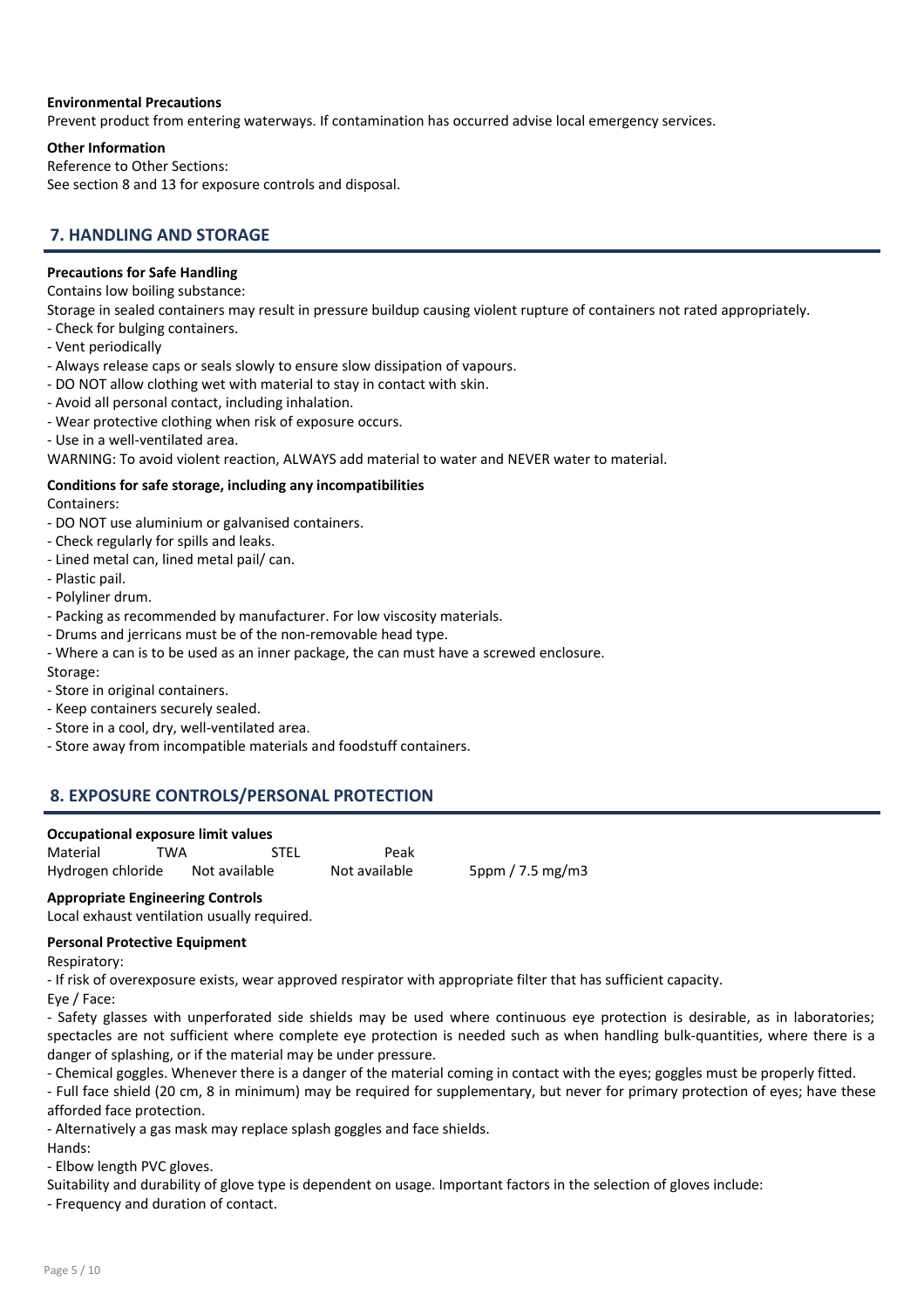# Environmental Precautions

Prevent product from entering waterways. If contamination has occurred advise local emergency services.

# Other Information

Reference to Other Sections: See section 8 and 13 for exposure controls and disposal.

# 7. HANDLING AND STORAGE

# Precautions for Safe Handling

Contains low boiling substance:

Storage in sealed containers may result in pressure buildup causing violent rupture of containers not rated appropriately.

- Check for bulging containers.
- Vent periodically
- Always release caps or seals slowly to ensure slow dissipation of vapours.
- DO NOT allow clothing wet with material to stay in contact with skin.
- Avoid all personal contact, including inhalation.
- Wear protective clothing when risk of exposure occurs.
- Use in a well-ventilated area.

WARNING: To avoid violent reaction, ALWAYS add material to water and NEVER water to material.

# Conditions for safe storage, including any incompatibilities

Containers:

- DO NOT use aluminium or galvanised containers.
- Check regularly for spills and leaks.
- Lined metal can, lined metal pail/ can.
- Plastic pail.
- Polyliner drum.
- Packing as recommended by manufacturer. For low viscosity materials.
- Drums and jerricans must be of the non-removable head type.
- Where a can is to be used as an inner package, the can must have a screwed enclosure. Storage:
- Store in original containers.
- Keep containers securely sealed.
- Store in a cool, dry, well-ventilated area.
- Store away from incompatible materials and foodstuff containers.

# 8. EXPOSURE CONTROLS/PERSONAL PROTECTION

| Material          | TWA           | <b>STEL</b> | Peak          |                  |
|-------------------|---------------|-------------|---------------|------------------|
| Hydrogen chloride | Not available |             | Not available | 5ppm / 7.5 mg/m3 |

# Appropriate Engineering Controls

Local exhaust ventilation usually required.

# Personal Protective Equipment

Respiratory:

- If risk of overexposure exists, wear approved respirator with appropriate filter that has sufficient capacity.

Eye / Face:

- Safety glasses with unperforated side shields may be used where continuous eye protection is desirable, as in laboratories; spectacles are not sufficient where complete eye protection is needed such as when handling bulk-quantities, where there is a danger of splashing, or if the material may be under pressure.

- Chemical goggles. Whenever there is a danger of the material coming in contact with the eyes; goggles must be properly fitted.

- Full face shield (20 cm, 8 in minimum) may be required for supplementary, but never for primary protection of eyes; have these afforded face protection.

- Alternatively a gas mask may replace splash goggles and face shields.

Hands:

- Elbow length PVC gloves.

Suitability and durability of glove type is dependent on usage. Important factors in the selection of gloves include:

- Frequency and duration of contact.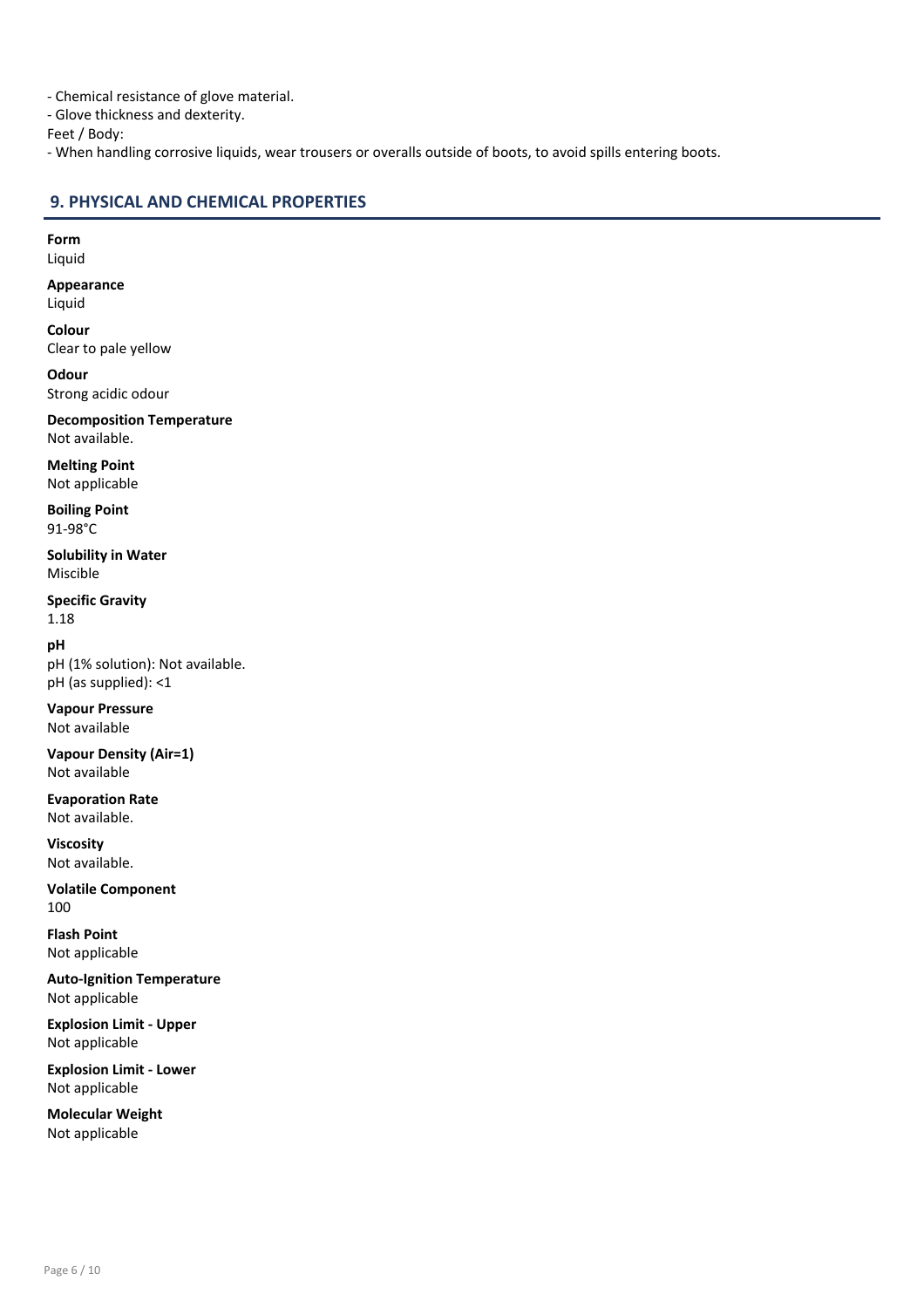- Chemical resistance of glove material.

- Glove thickness and dexterity.

Feet / Body:

- When handling corrosive liquids, wear trousers or overalls outside of boots, to avoid spills entering boots.

# 9. PHYSICAL AND CHEMICAL PROPERTIES

Form Liquid

Appearance

Liquid

Colour Clear to pale yellow

**Odour** Strong acidic odour

Decomposition Temperature Not available.

Melting Point Not applicable

Boiling Point 91-98°C

Solubility in Water Miscible

Specific Gravity 1.18

pH pH (1% solution): Not available. pH (as supplied): <1

Vapour Pressure Not available

Vapour Density (Air=1) Not available

Evaporation Rate Not available.

Viscosity Not available.

Volatile Component 100

Flash Point Not applicable

Auto-Ignition Temperature Not applicable

Explosion Limit - Upper Not applicable

Explosion Limit - Lower Not applicable

Molecular Weight Not applicable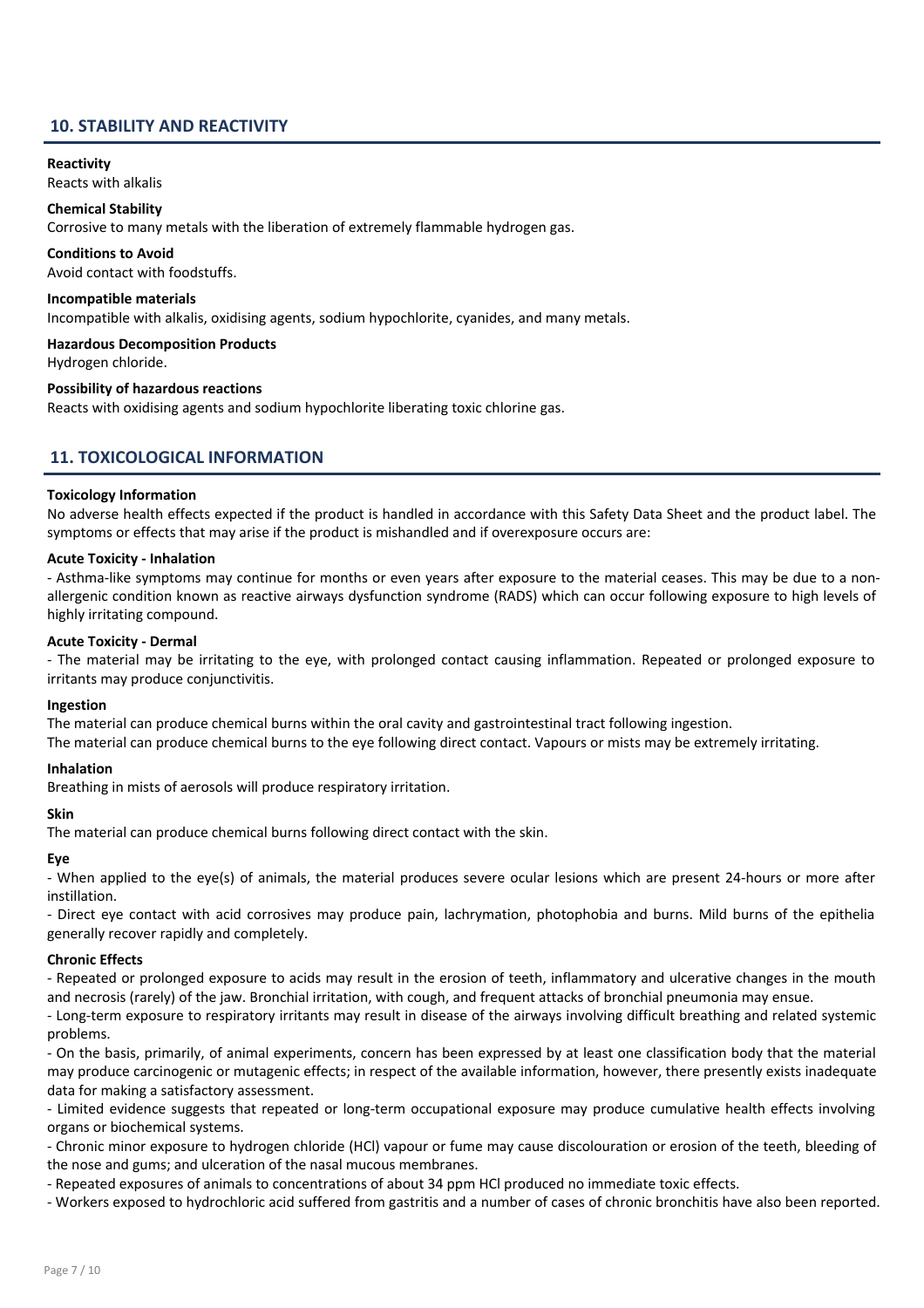# 10. STABILITY AND REACTIVITY

#### Reactivity

Reacts with alkalis

#### Chemical Stability

Corrosive to many metals with the liberation of extremely flammable hydrogen gas.

#### Conditions to Avoid

Avoid contact with foodstuffs.

#### Incompatible materials

Incompatible with alkalis, oxidising agents, sodium hypochlorite, cyanides, and many metals.

#### Hazardous Decomposition Products

Hydrogen chloride.

#### Possibility of hazardous reactions

Reacts with oxidising agents and sodium hypochlorite liberating toxic chlorine gas.

# 11. TOXICOLOGICAL INFORMATION

#### Toxicology Information

No adverse health effects expected if the product is handled in accordance with this Safety Data Sheet and the product label. The symptoms or effects that may arise if the product is mishandled and if overexposure occurs are:

#### Acute Toxicity - Inhalation

- Asthma-like symptoms may continue for months or even years after exposure to the material ceases. This may be due to a nonallergenic condition known as reactive airways dysfunction syndrome (RADS) which can occur following exposure to high levels of highly irritating compound.

#### Acute Toxicity - Dermal

- The material may be irritating to the eye, with prolonged contact causing inflammation. Repeated or prolonged exposure to irritants may produce conjunctivitis.

#### Ingestion

The material can produce chemical burns within the oral cavity and gastrointestinal tract following ingestion. The material can produce chemical burns to the eye following direct contact. Vapours or mists may be extremely irritating.

#### Inhalation

Breathing in mists of aerosols will produce respiratory irritation.

# **Skin** The material can produce chemical burns following direct contact with the skin.

Eye

- When applied to the eye(s) of animals, the material produces severe ocular lesions which are present 24-hours or more after instillation.

- Direct eye contact with acid corrosives may produce pain, lachrymation, photophobia and burns. Mild burns of the epithelia generally recover rapidly and completely.

#### Chronic Effects

- Repeated or prolonged exposure to acids may result in the erosion of teeth, inflammatory and ulcerative changes in the mouth and necrosis (rarely) of the jaw. Bronchial irritation, with cough, and frequent attacks of bronchial pneumonia may ensue.

- Long-term exposure to respiratory irritants may result in disease of the airways involving difficult breathing and related systemic problems.

- On the basis, primarily, of animal experiments, concern has been expressed by at least one classification body that the material may produce carcinogenic or mutagenic effects; in respect of the available information, however, there presently exists inadequate data for making a satisfactory assessment.

- Limited evidence suggests that repeated or long-term occupational exposure may produce cumulative health effects involving organs or biochemical systems.

- Chronic minor exposure to hydrogen chloride (HCl) vapour or fume may cause discolouration or erosion of the teeth, bleeding of the nose and gums; and ulceration of the nasal mucous membranes.

- Repeated exposures of animals to concentrations of about 34 ppm HCl produced no immediate toxic effects.

- Workers exposed to hydrochloric acid suffered from gastritis and a number of cases of chronic bronchitis have also been reported.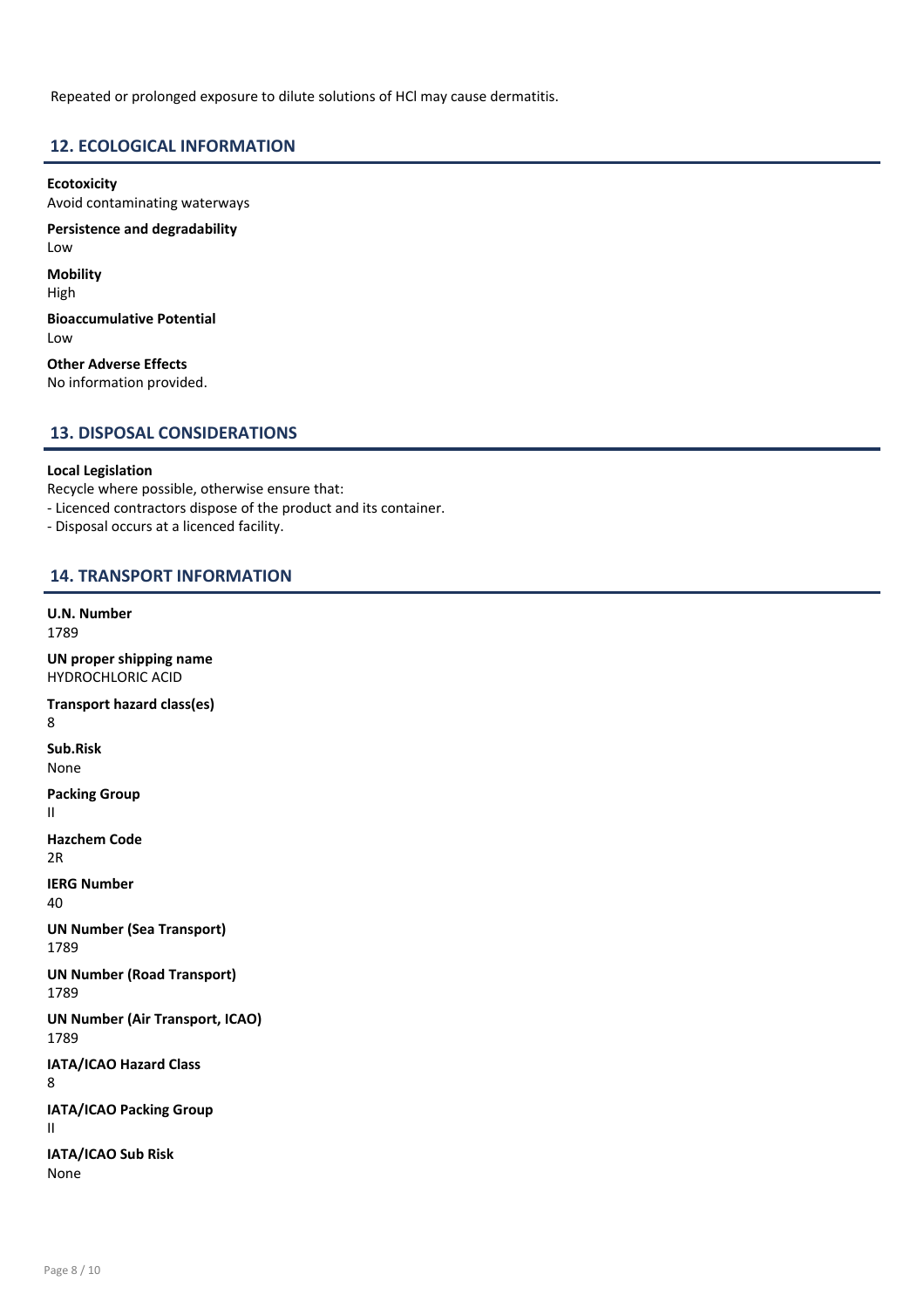Repeated or prolonged exposure to dilute solutions of HCl may cause dermatitis.

# 12. ECOLOGICAL INFORMATION

Ecotoxicity Avoid contaminating waterways

Persistence and degradability Low

**Mobility** 

High Bioaccumulative Potential

Low

Other Adverse Effects No information provided.

# 13. DISPOSAL CONSIDERATIONS

# Local Legislation

Recycle where possible, otherwise ensure that:

- Licenced contractors dispose of the product and its container.

- Disposal occurs at a licenced facility.

# 14. TRANSPORT INFORMATION

U.N. Number

1789

UN proper shipping name HYDROCHLORIC ACID Transport hazard class(es) 8 Sub.Risk None Packing Group II Hazchem Code 2R IERG Number 40 UN Number (Sea Transport) 1789 UN Number (Road Transport) 1789 UN Number (Air Transport, ICAO) 1789 IATA/ICAO Hazard Class 8 IATA/ICAO Packing Group II IATA/ICAO Sub Risk

None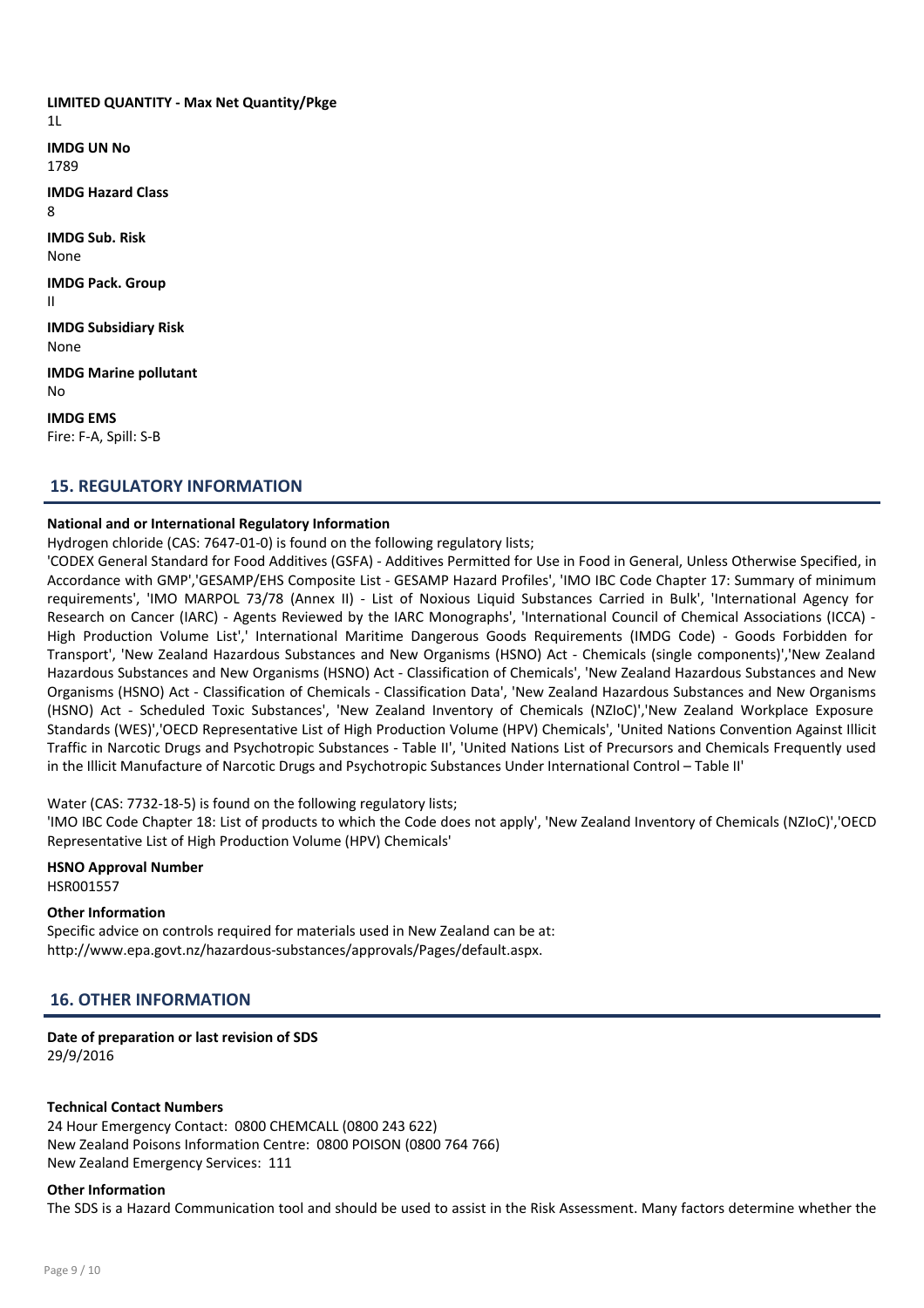LIMITED QUANTITY - Max Net Quantity/Pkge 1L IMDG UN No 1789 IMDG Hazard Class 8 IMDG Sub. Risk None IMDG Pack. Group II IMDG Subsidiary Risk None IMDG Marine pollutant No IMDG EMS Fire: F-A, Spill: S-B

# 15. REGULATORY INFORMATION

#### National and or International Regulatory Information

Hydrogen chloride (CAS: 7647-01-0) is found on the following regulatory lists;

'CODEX General Standard for Food Additives (GSFA) - Additives Permitted for Use in Food in General, Unless Otherwise Specified, in Accordance with GMP','GESAMP/EHS Composite List - GESAMP Hazard Profiles', 'IMO IBC Code Chapter 17: Summary of minimum requirements', 'IMO MARPOL 73/78 (Annex II) - List of Noxious Liquid Substances Carried in Bulk', 'International Agency for Research on Cancer (IARC) - Agents Reviewed by the IARC Monographs', 'International Council of Chemical Associations (ICCA) - High Production Volume List',' International Maritime Dangerous Goods Requirements (IMDG Code) - Goods Forbidden for Transport', 'New Zealand Hazardous Substances and New Organisms (HSNO) Act - Chemicals (single components)','New Zealand Hazardous Substances and New Organisms (HSNO) Act - Classification of Chemicals', 'New Zealand Hazardous Substances and New Organisms (HSNO) Act - Classification of Chemicals - Classification Data', 'New Zealand Hazardous Substances and New Organisms (HSNO) Act - Scheduled Toxic Substances', 'New Zealand Inventory of Chemicals (NZIoC)','New Zealand Workplace Exposure Standards (WES)','OECD Representative List of High Production Volume (HPV) Chemicals', 'United Nations Convention Against Illicit Traffic in Narcotic Drugs and Psychotropic Substances - Table II', 'United Nations List of Precursors and Chemicals Frequently used in the Illicit Manufacture of Narcotic Drugs and Psychotropic Substances Under International Control – Table II'

Water (CAS: 7732-18-5) is found on the following regulatory lists;

'IMO IBC Code Chapter 18: List of products to which the Code does not apply', 'New Zealand Inventory of Chemicals (NZIoC)','OECD Representative List of High Production Volume (HPV) Chemicals'

# HSNO Approval Number

HSR001557

# Other Information

Specific advice on controls required for materials used in New Zealand can be at: http://www.epa.govt.nz/hazardous-substances/approvals/Pages/default.aspx.

# 16. OTHER INFORMATION

#### Date of preparation or last revision of SDS 29/9/2016

#### Technical Contact Numbers

24 Hour Emergency Contact: 0800 CHEMCALL (0800 243 622) New Zealand Poisons Information Centre: 0800 POISON (0800 764 766) New Zealand Emergency Services: 111

#### Other Information

The SDS is a Hazard Communication tool and should be used to assist in the Risk Assessment. Many factors determine whether the